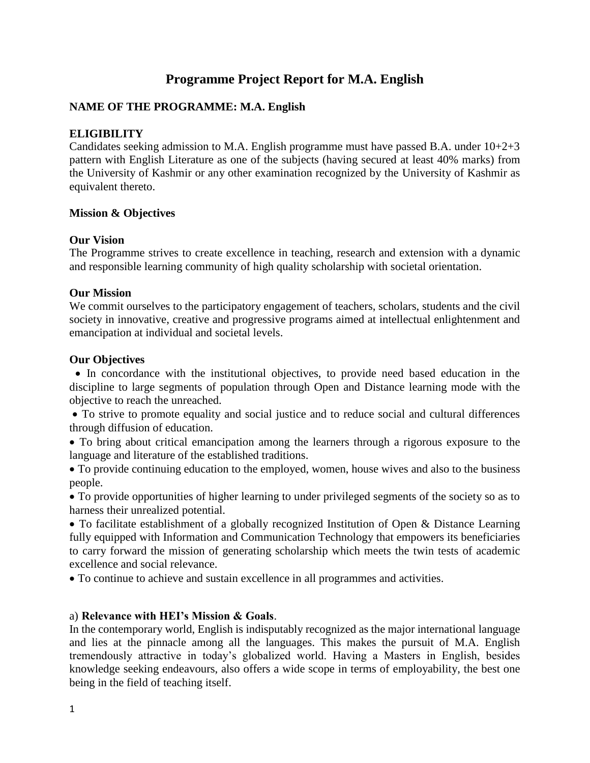# **Programme Project Report for M.A. English**

## **NAME OF THE PROGRAMME: M.A. English**

## **ELIGIBILITY**

Candidates seeking admission to M.A. English programme must have passed B.A. under 10+2+3 pattern with English Literature as one of the subjects (having secured at least 40% marks) from the University of Kashmir or any other examination recognized by the University of Kashmir as equivalent thereto.

### **Mission & Objectives**

#### **Our Vision**

The Programme strives to create excellence in teaching, research and extension with a dynamic and responsible learning community of high quality scholarship with societal orientation.

#### **Our Mission**

We commit ourselves to the participatory engagement of teachers, scholars, students and the civil society in innovative, creative and progressive programs aimed at intellectual enlightenment and emancipation at individual and societal levels.

#### **Our Objectives**

 In concordance with the institutional objectives, to provide need based education in the discipline to large segments of population through Open and Distance learning mode with the objective to reach the unreached.

 To strive to promote equality and social justice and to reduce social and cultural differences through diffusion of education.

 To bring about critical emancipation among the learners through a rigorous exposure to the language and literature of the established traditions.

 To provide continuing education to the employed, women, house wives and also to the business people.

 To provide opportunities of higher learning to under privileged segments of the society so as to harness their unrealized potential.

 To facilitate establishment of a globally recognized Institution of Open & Distance Learning fully equipped with Information and Communication Technology that empowers its beneficiaries to carry forward the mission of generating scholarship which meets the twin tests of academic excellence and social relevance.

To continue to achieve and sustain excellence in all programmes and activities.

### a) **Relevance with HEI's Mission & Goals**.

In the contemporary world, English is indisputably recognized as the major international language and lies at the pinnacle among all the languages. This makes the pursuit of M.A. English tremendously attractive in today's globalized world. Having a Masters in English, besides knowledge seeking endeavours, also offers a wide scope in terms of employability, the best one being in the field of teaching itself.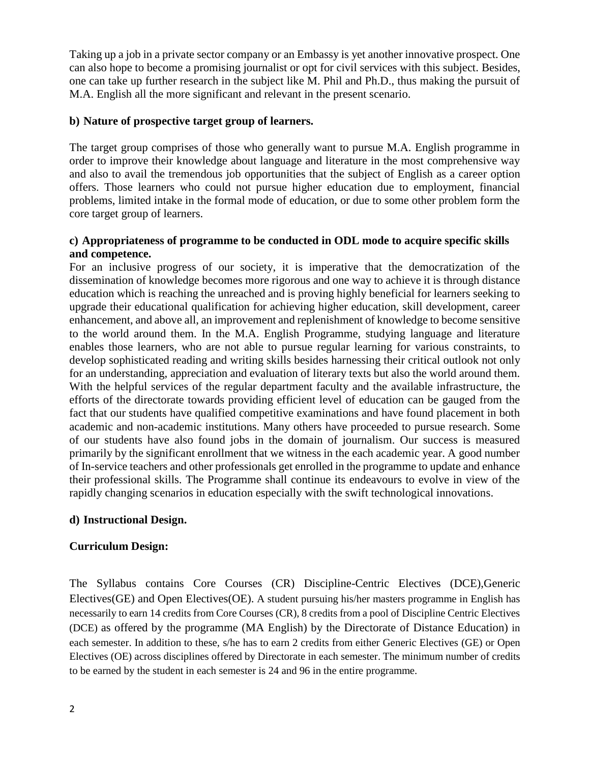Taking up a job in a private sector company or an Embassy is yet another innovative prospect. One can also hope to become a promising journalist or opt for civil services with this subject. Besides, one can take up further research in the subject like M. Phil and Ph.D., thus making the pursuit of M.A. English all the more significant and relevant in the present scenario.

## **b) Nature of prospective target group of learners.**

The target group comprises of those who generally want to pursue M.A. English programme in order to improve their knowledge about language and literature in the most comprehensive way and also to avail the tremendous job opportunities that the subject of English as a career option offers. Those learners who could not pursue higher education due to employment, financial problems, limited intake in the formal mode of education, or due to some other problem form the core target group of learners.

## **c) Appropriateness of programme to be conducted in ODL mode to acquire specific skills and competence.**

For an inclusive progress of our society, it is imperative that the democratization of the dissemination of knowledge becomes more rigorous and one way to achieve it is through distance education which is reaching the unreached and is proving highly beneficial for learners seeking to upgrade their educational qualification for achieving higher education, skill development, career enhancement, and above all, an improvement and replenishment of knowledge to become sensitive to the world around them. In the M.A. English Programme, studying language and literature enables those learners, who are not able to pursue regular learning for various constraints, to develop sophisticated reading and writing skills besides harnessing their critical outlook not only for an understanding, appreciation and evaluation of literary texts but also the world around them. With the helpful services of the regular department faculty and the available infrastructure, the efforts of the directorate towards providing efficient level of education can be gauged from the fact that our students have qualified competitive examinations and have found placement in both academic and non-academic institutions. Many others have proceeded to pursue research. Some of our students have also found jobs in the domain of journalism. Our success is measured primarily by the significant enrollment that we witness in the each academic year. A good number of In-service teachers and other professionals get enrolled in the programme to update and enhance their professional skills. The Programme shall continue its endeavours to evolve in view of the rapidly changing scenarios in education especially with the swift technological innovations.

## **d) Instructional Design.**

## **Curriculum Design:**

The Syllabus contains Core Courses (CR) Discipline-Centric Electives (DCE),Generic Electives(GE) and Open Electives(OE). A student pursuing his/her masters programme in English has necessarily to earn 14 credits from Core Courses (CR), 8 credits from a pool of Discipline Centric Electives (DCE) as offered by the programme (MA English) by the Directorate of Distance Education) in each semester. In addition to these, s/he has to earn 2 credits from either Generic Electives (GE) or Open Electives (OE) across disciplines offered by Directorate in each semester. The minimum number of credits to be earned by the student in each semester is 24 and 96 in the entire programme.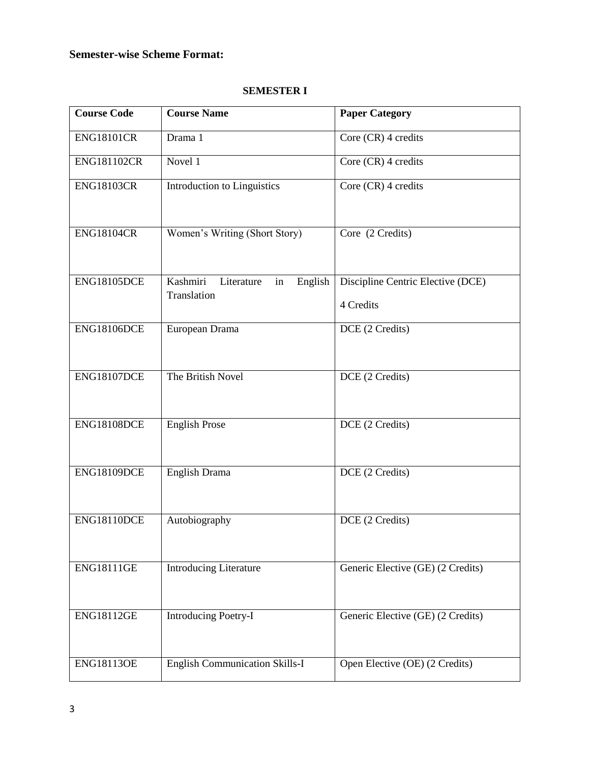## **Semester-wise Scheme Format:**

| <b>SEMESTER I</b> |  |
|-------------------|--|
|-------------------|--|

| <b>Course Code</b> | <b>Course Name</b>                                     | <b>Paper Category</b>                          |
|--------------------|--------------------------------------------------------|------------------------------------------------|
| <b>ENG18101CR</b>  | Drama 1                                                | Core (CR) 4 credits                            |
| <b>ENG181102CR</b> | Novel 1                                                | Core (CR) 4 credits                            |
| <b>ENG18103CR</b>  | Introduction to Linguistics                            | Core (CR) 4 credits                            |
| <b>ENG18104CR</b>  | Women's Writing (Short Story)                          | Core (2 Credits)                               |
| ENG18105DCE        | Kashmiri<br>English<br>Literature<br>in<br>Translation | Discipline Centric Elective (DCE)<br>4 Credits |
| ENG18106DCE        | European Drama                                         | DCE (2 Credits)                                |
| ENG18107DCE        | The British Novel                                      | DCE (2 Credits)                                |
| ENG18108DCE        | <b>English Prose</b>                                   | DCE (2 Credits)                                |
| ENG18109DCE        | English Drama                                          | DCE (2 Credits)                                |
| ENG18110DCE        | Autobiography                                          | DCE (2 Credits)                                |
| <b>ENG18111GE</b>  | <b>Introducing Literature</b>                          | Generic Elective (GE) (2 Credits)              |
| <b>ENG18112GE</b>  | <b>Introducing Poetry-I</b>                            | Generic Elective (GE) (2 Credits)              |
| <b>ENG18113OE</b>  | <b>English Communication Skills-I</b>                  | Open Elective (OE) (2 Credits)                 |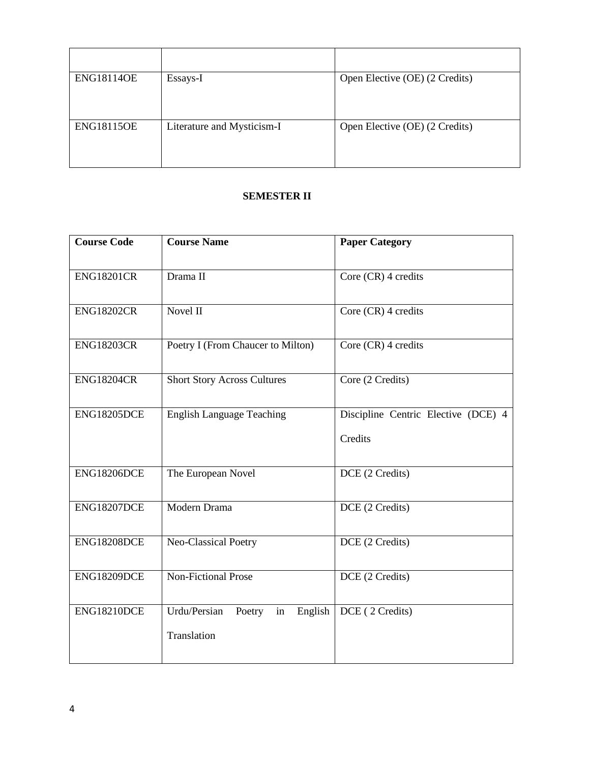| <b>ENG18114OE</b> | Essays-I                   | Open Elective (OE) (2 Credits) |
|-------------------|----------------------------|--------------------------------|
| <b>ENG18115OE</b> | Literature and Mysticism-I | Open Elective (OE) (2 Credits) |

### **SEMESTER II**

| <b>Course Code</b> | <b>Course Name</b>                                     | <b>Paper Category</b>                          |
|--------------------|--------------------------------------------------------|------------------------------------------------|
| <b>ENG18201CR</b>  | Drama II                                               | Core (CR) 4 credits                            |
| <b>ENG18202CR</b>  | Novel II                                               | Core (CR) 4 credits                            |
| <b>ENG18203CR</b>  | Poetry I (From Chaucer to Milton)                      | Core (CR) 4 credits                            |
| <b>ENG18204CR</b>  | <b>Short Story Across Cultures</b>                     | Core (2 Credits)                               |
| ENG18205DCE        | <b>English Language Teaching</b>                       | Discipline Centric Elective (DCE) 4<br>Credits |
| ENG18206DCE        | The European Novel                                     | DCE (2 Credits)                                |
| <b>ENG18207DCE</b> | Modern Drama                                           | DCE (2 Credits)                                |
| ENG18208DCE        | Neo-Classical Poetry                                   | DCE (2 Credits)                                |
| ENG18209DCE        | <b>Non-Fictional Prose</b>                             | DCE (2 Credits)                                |
| ENG18210DCE        | Urdu/Persian<br>in<br>English<br>Poetry<br>Translation | DCE (2 Credits)                                |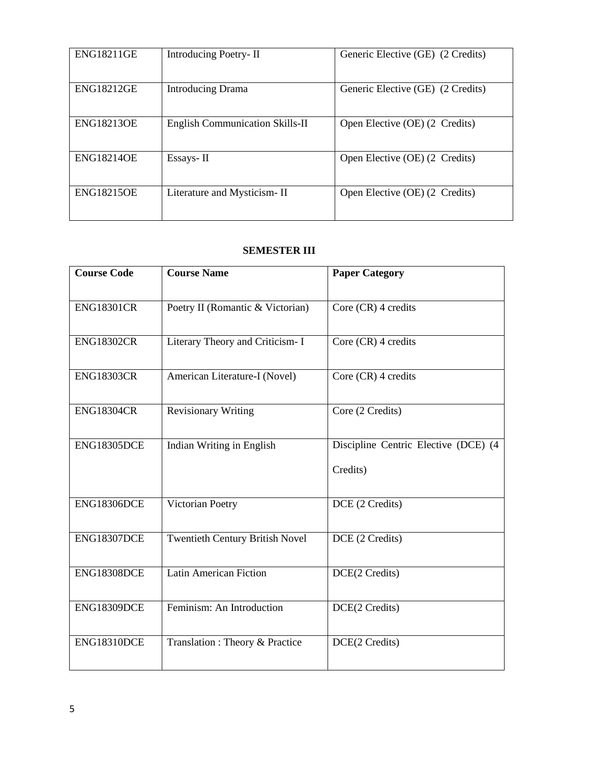| <b>ENG18211GE</b> | Introducing Poetry-II                  | Generic Elective (GE) (2 Credits) |
|-------------------|----------------------------------------|-----------------------------------|
| <b>ENG18212GE</b> | <b>Introducing Drama</b>               | Generic Elective (GE) (2 Credits) |
| <b>ENG18213OE</b> | <b>English Communication Skills-II</b> | Open Elective (OE) (2 Credits)    |
| <b>ENG18214OE</b> | Essays-II                              | Open Elective (OE) (2 Credits)    |
| <b>ENG18215OE</b> | Literature and Mysticism-II            | Open Elective (OE) (2 Credits)    |

## **SEMESTER III**

| <b>Course Code</b> | <b>Course Name</b>                     | <b>Paper Category</b>                            |
|--------------------|----------------------------------------|--------------------------------------------------|
| <b>ENG18301CR</b>  | Poetry II (Romantic & Victorian)       | Core (CR) 4 credits                              |
| <b>ENG18302CR</b>  | Literary Theory and Criticism- I       | Core (CR) 4 credits                              |
| <b>ENG18303CR</b>  | American Literature-I (Novel)          | Core (CR) 4 credits                              |
| <b>ENG18304CR</b>  | <b>Revisionary Writing</b>             | Core (2 Credits)                                 |
| ENG18305DCE        | Indian Writing in English              | Discipline Centric Elective (DCE) (4<br>Credits) |
| ENG18306DCE        | Victorian Poetry                       | DCE (2 Credits)                                  |
| ENG18307DCE        | <b>Twentieth Century British Novel</b> | DCE (2 Credits)                                  |
| ENG18308DCE        | <b>Latin American Fiction</b>          | DCE(2 Credits)                                   |
| ENG18309DCE        | Feminism: An Introduction              | DCE(2 Credits)                                   |
| ENG18310DCE        | Translation : Theory & Practice        | DCE(2 Credits)                                   |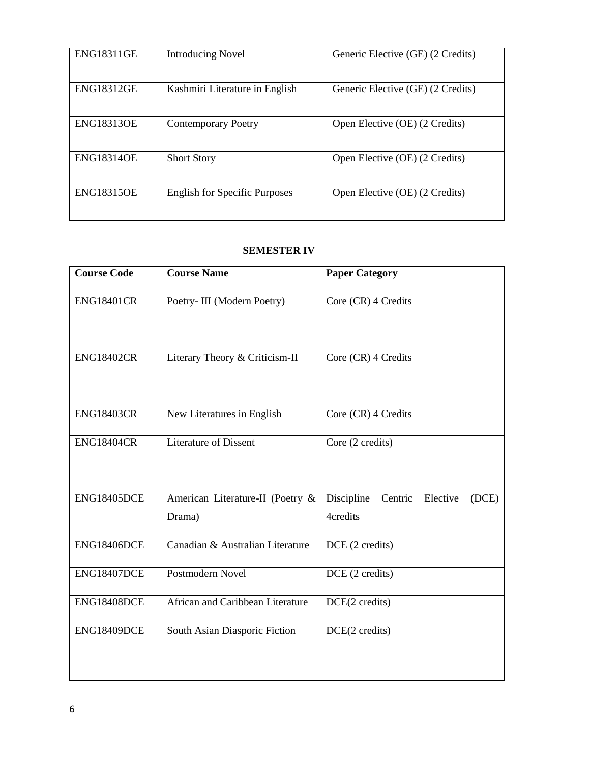| <b>ENG18311GE</b> | <b>Introducing Novel</b>             | Generic Elective (GE) (2 Credits) |
|-------------------|--------------------------------------|-----------------------------------|
| <b>ENG18312GE</b> | Kashmiri Literature in English       | Generic Elective (GE) (2 Credits) |
| <b>ENG18313OE</b> | <b>Contemporary Poetry</b>           | Open Elective (OE) (2 Credits)    |
| <b>ENG18314OE</b> | <b>Short Story</b>                   | Open Elective (OE) (2 Credits)    |
| <b>ENG18315OE</b> | <b>English for Specific Purposes</b> | Open Elective (OE) (2 Credits)    |

## **SEMESTER IV**

| <b>Course Code</b> | <b>Course Name</b>                         | <b>Paper Category</b>                                  |
|--------------------|--------------------------------------------|--------------------------------------------------------|
| <b>ENG18401CR</b>  | Poetry- III (Modern Poetry)                | Core (CR) 4 Credits                                    |
| <b>ENG18402CR</b>  | Literary Theory & Criticism-II             | Core (CR) 4 Credits                                    |
| <b>ENG18403CR</b>  | New Literatures in English                 | Core (CR) 4 Credits                                    |
| <b>ENG18404CR</b>  | <b>Literature of Dissent</b>               | Core (2 credits)                                       |
| ENG18405DCE        | American Literature-II (Poetry &<br>Drama) | Discipline<br>Centric<br>Elective<br>(DCE)<br>4credits |
| ENG18406DCE        | Canadian & Australian Literature           | DCE (2 credits)                                        |
| ENG18407DCE        | Postmodern Novel                           | DCE (2 credits)                                        |
| ENG18408DCE        | African and Caribbean Literature           | DCE(2 credits)                                         |
| ENG18409DCE        | South Asian Diasporic Fiction              | DCE(2 credits)                                         |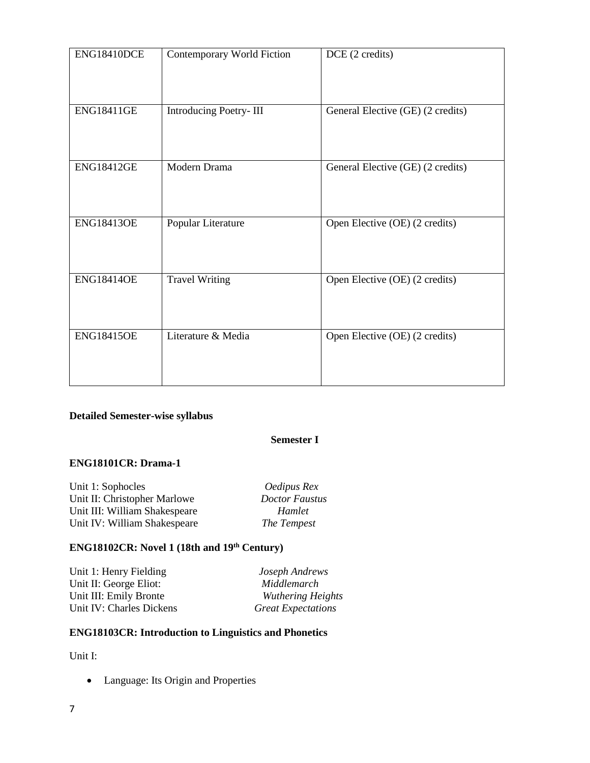| ENG18410DCE       | Contemporary World Fiction | DCE (2 credits)                   |
|-------------------|----------------------------|-----------------------------------|
| <b>ENG18411GE</b> | Introducing Poetry-III     | General Elective (GE) (2 credits) |
| <b>ENG18412GE</b> | Modern Drama               | General Elective (GE) (2 credits) |
| <b>ENG18413OE</b> | Popular Literature         | Open Elective (OE) (2 credits)    |
| <b>ENG18414OE</b> | <b>Travel Writing</b>      | Open Elective (OE) (2 credits)    |
| <b>ENG18415OE</b> | Literature & Media         | Open Elective (OE) (2 credits)    |

## **Detailed Semester-wise syllabus**

#### **Semester I**

## **ENG18101CR: Drama-1**

| Unit 1: Sophocles             | Oedipus Rex           |
|-------------------------------|-----------------------|
| Unit II: Christopher Marlowe  | <b>Doctor Faustus</b> |
| Unit III: William Shakespeare | Hamlet                |
| Unit IV: William Shakespeare  | The Tempest           |

# **ENG18102CR: Novel 1 (18th and 19th Century)**

| Unit 1: Henry Fielding   | Joseph Andrews            |
|--------------------------|---------------------------|
| Unit II: George Eliot:   | Middlemarch               |
| Unit III: Emily Bronte   | <b>Wuthering Heights</b>  |
| Unit IV: Charles Dickens | <b>Great Expectations</b> |

## **ENG18103CR: Introduction to Linguistics and Phonetics**

Unit I:

Language: Its Origin and Properties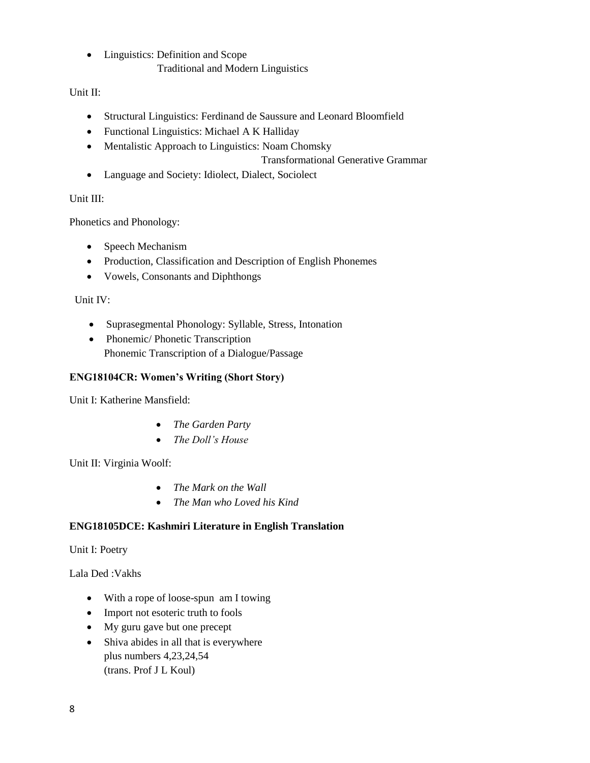Linguistics: Definition and Scope Traditional and Modern Linguistics

## Unit II:

- Structural Linguistics: Ferdinand de Saussure and Leonard Bloomfield
- Functional Linguistics: Michael A K Halliday
- Mentalistic Approach to Linguistics: Noam Chomsky

## Transformational Generative Grammar

Language and Society: Idiolect, Dialect, Sociolect

## Unit III:

Phonetics and Phonology:

- Speech Mechanism
- Production, Classification and Description of English Phonemes
- Vowels, Consonants and Diphthongs

## Unit IV:

- Suprasegmental Phonology: Syllable, Stress, Intonation
- Phonemic/ Phonetic Transcription Phonemic Transcription of a Dialogue/Passage

## **ENG18104CR: Women's Writing (Short Story)**

Unit I: Katherine Mansfield:

- *The Garden Party*
- *The Doll's House*

Unit II: Virginia Woolf:

- *The Mark on the Wall*
- *The Man who Loved his Kind*

## **ENG18105DCE: Kashmiri Literature in English Translation**

Unit I: Poetry

Lala Ded :Vakhs

- With a rope of loose-spun am I towing
- Import not esoteric truth to fools
- My guru gave but one precept
- Shiva abides in all that is everywhere plus numbers 4,23,24,54 (trans. Prof J L Koul)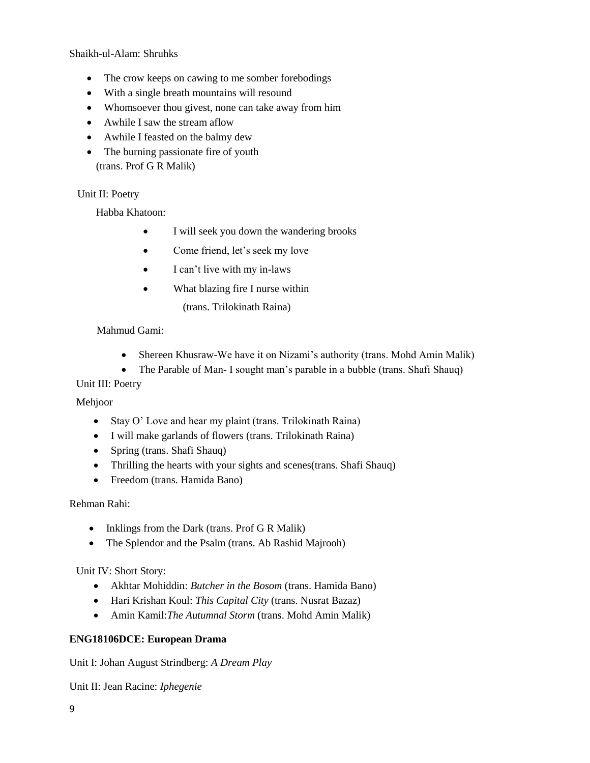Shaikh-ul-Alam: Shruhks

- The crow keeps on cawing to me somber forebodings
- With a single breath mountains will resound
- Whomsoever thou givest, none can take away from him
- Awhile I saw the stream aflow
- Awhile I feasted on the balmy dew
- The burning passionate fire of youth (trans. Prof G R Malik)

#### Unit II: Poetry

Habba Khatoon:

- I will seek you down the wandering brooks
- Come friend, let's seek my love
- I can't live with my in-laws
- What blazing fire I nurse within
	- (trans. Trilokinath Raina)

#### Mahmud Gami:

- Shereen Khusraw-We have it on Nizami's authority (trans. Mohd Amin Malik)
- The Parable of Man- I sought man's parable in a bubble (trans. Shafi Shauq)

#### Unit III: Poetry

Mehjoor

- Stay O' Love and hear my plaint (trans. Trilokinath Raina)
- I will make garlands of flowers (trans. Trilokinath Raina)
- Spring (trans. Shafi Shauq)
- Thrilling the hearts with your sights and scenes(trans. Shafi Shauq)
- Freedom (trans. Hamida Bano)

Rehman Rahi:

- Inklings from the Dark (trans. Prof G R Malik)
- The Splendor and the Psalm (trans. Ab Rashid Majrooh)

Unit IV: Short Story:

- Akhtar Mohiddin: *Butcher in the Bosom* (trans. Hamida Bano)
- Hari Krishan Koul: *This Capital City* (trans. Nusrat Bazaz)
- Amin Kamil:*The Autumnal Storm* (trans. Mohd Amin Malik)

#### **ENG18106DCE: European Drama**

Unit I: Johan August Strindberg: *A Dream Play*

Unit II: Jean Racine: *Iphegenie*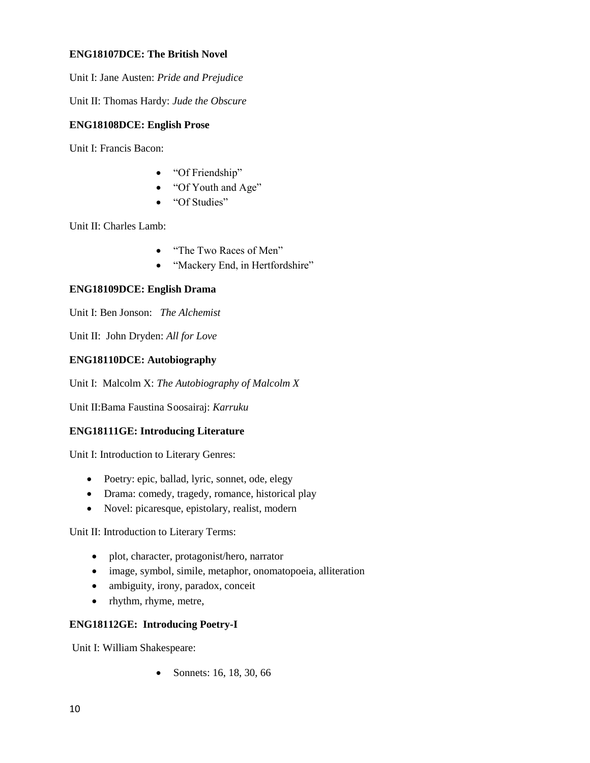#### **ENG18107DCE: The British Novel**

Unit I: Jane Austen: *Pride and Prejudice*

Unit II: Thomas Hardy: *Jude the Obscure*

#### **ENG18108DCE: English Prose**

Unit I: Francis Bacon:

- "Of Friendship"
- "Of Youth and Age"
- "Of Studies"

Unit II: Charles Lamb:

- "The Two Races of Men"
- "Mackery End, in Hertfordshire"

### **ENG18109DCE: English Drama**

Unit I: Ben Jonson: *The Alchemist*

Unit II: John Dryden: *All for Love*

#### **ENG18110DCE: Autobiography**

Unit I: Malcolm X: *The Autobiography of Malcolm X*

Unit II:Bama Faustina Soosairaj: *Karruku*

### **ENG18111GE: Introducing Literature**

Unit I: Introduction to Literary Genres:

- Poetry: epic, ballad, lyric, sonnet, ode, elegy
- Drama: comedy, tragedy, romance, historical play
- Novel: picaresque, epistolary, realist, modern

Unit II: Introduction to Literary Terms:

- plot, character, protagonist/hero, narrator
- image, symbol, simile, metaphor, onomatopoeia, alliteration
- ambiguity, irony, paradox, conceit
- rhythm, rhyme, metre,

#### **ENG18112GE: Introducing Poetry-I**

Unit I: William Shakespeare:

• Sonnets: 16, 18, 30, 66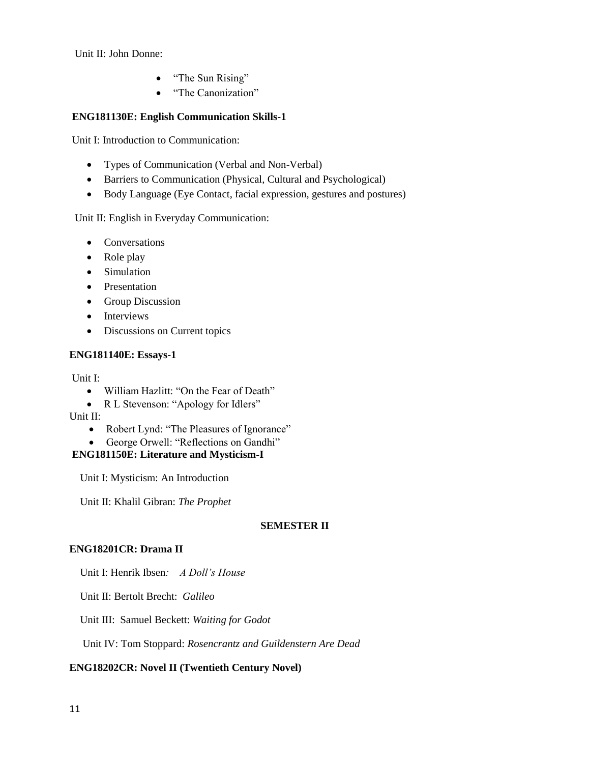Unit II: John Donne:

- "The Sun Rising"
- "The Canonization"

#### **ENG181130E: English Communication Skills-1**

Unit I: Introduction to Communication:

- Types of Communication (Verbal and Non-Verbal)
- Barriers to Communication (Physical, Cultural and Psychological)
- Body Language (Eye Contact, facial expression, gestures and postures)

Unit II: English in Everyday Communication:

- Conversations
- Role play
- Simulation
- Presentation
- Group Discussion
- Interviews
- Discussions on Current topics

#### **ENG181140E: Essays-1**

Unit I:

- William Hazlitt: "On the Fear of Death"
- R L Stevenson: "Apology for Idlers"

Unit II:

- Robert Lynd: "The Pleasures of Ignorance"
- George Orwell: "Reflections on Gandhi"

#### **ENG181150E: Literature and Mysticism-I**

Unit I: Mysticism: An Introduction

Unit II: Khalil Gibran: *The Prophet*

#### **SEMESTER II**

#### **ENG18201CR: Drama II**

Unit I: Henrik Ibsen*: A Doll's House*

Unit II: Bertolt Brecht: *Galileo*

Unit III: Samuel Beckett: *Waiting for Godot*

Unit IV: Tom Stoppard: *Rosencrantz and Guildenstern Are Dead*

### **ENG18202CR: Novel II (Twentieth Century Novel)**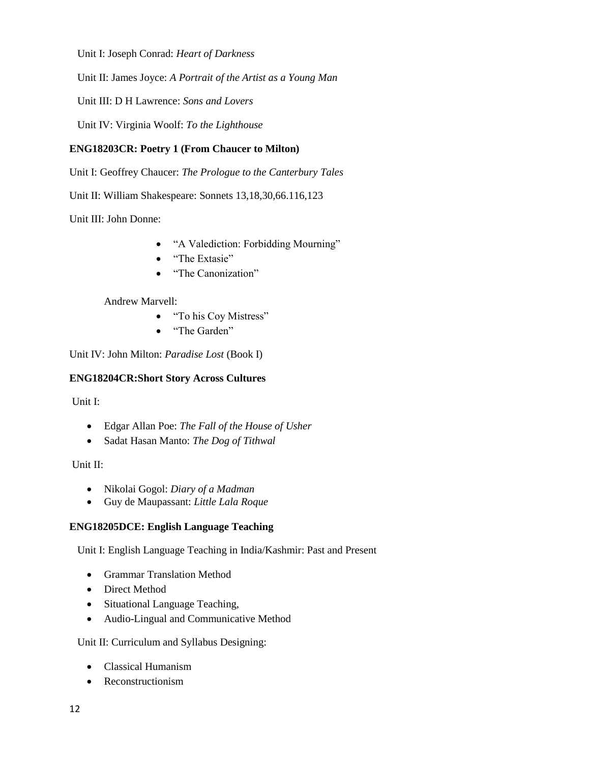Unit I: Joseph Conrad: *Heart of Darkness*

Unit II: James Joyce: *A Portrait of the Artist as a Young Man*

Unit III: D H Lawrence: *Sons and Lovers*

Unit IV: Virginia Woolf: *To the Lighthouse*

## **ENG18203CR: Poetry 1 (From Chaucer to Milton)**

Unit I: Geoffrey Chaucer: *The Prologue to the Canterbury Tales*

Unit II: William Shakespeare: Sonnets 13,18,30,66.116,123

Unit III: John Donne:

- "A Valediction: Forbidding Mourning"
- "The Extasie"
- "The Canonization"

### Andrew Marvell:

- "To his Coy Mistress"
- "The Garden"

Unit IV: John Milton: *Paradise Lost* (Book I)

### **ENG18204CR:Short Story Across Cultures**

Unit I:

- Edgar Allan Poe: *The Fall of the House of Usher*
- Sadat Hasan Manto: *The Dog of Tithwal*

Unit II:

- Nikolai Gogol: *Diary of a Madman*
- Guy de Maupassant: *Little Lala Roque*

### **ENG18205DCE: English Language Teaching**

Unit I: English Language Teaching in India/Kashmir: Past and Present

- Grammar Translation Method
- Direct Method
- Situational Language Teaching,
- Audio-Lingual and Communicative Method

Unit II: Curriculum and Syllabus Designing:

- Classical Humanism
- Reconstructionism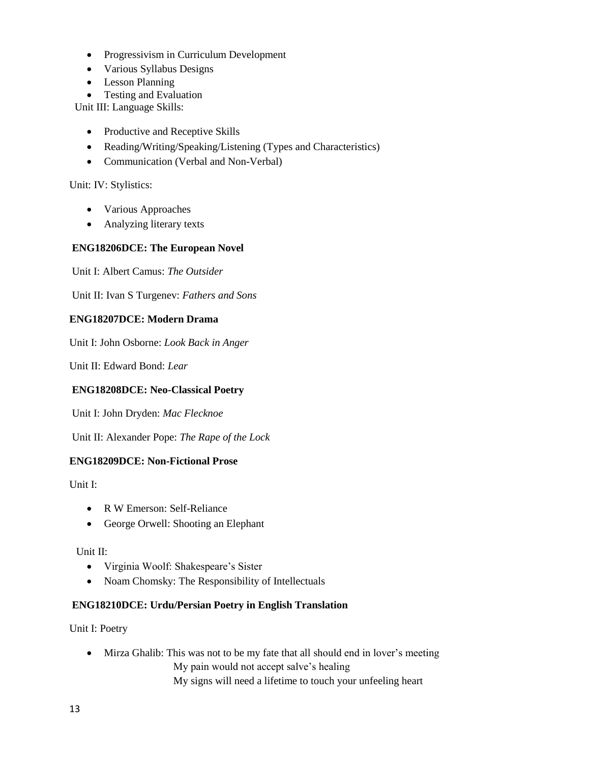- Progressivism in Curriculum Development
- Various Syllabus Designs
- Lesson Planning
- Testing and Evaluation

Unit III: Language Skills:

- Productive and Receptive Skills
- Reading/Writing/Speaking/Listening (Types and Characteristics)
- Communication (Verbal and Non-Verbal)

#### Unit: IV: Stylistics:

- Various Approaches
- Analyzing literary texts

#### **ENG18206DCE: The European Novel**

Unit I: Albert Camus: *The Outsider*

Unit II: Ivan S Turgenev: *Fathers and Sons*

#### **ENG18207DCE: Modern Drama**

Unit I: John Osborne: *Look Back in Anger*

Unit II: Edward Bond: *Lear*

#### **ENG18208DCE: Neo-Classical Poetry**

Unit I: John Dryden: *Mac Flecknoe*

Unit II: Alexander Pope: *The Rape of the Lock*

#### **ENG18209DCE: Non-Fictional Prose**

Unit I:

- R W Emerson: Self-Reliance
- George Orwell: Shooting an Elephant

Unit II:

- Virginia Woolf: Shakespeare's Sister
- Noam Chomsky: The Responsibility of Intellectuals

#### **ENG18210DCE: Urdu/Persian Poetry in English Translation**

Unit I: Poetry

• Mirza Ghalib: This was not to be my fate that all should end in lover's meeting My pain would not accept salve's healing

My signs will need a lifetime to touch your unfeeling heart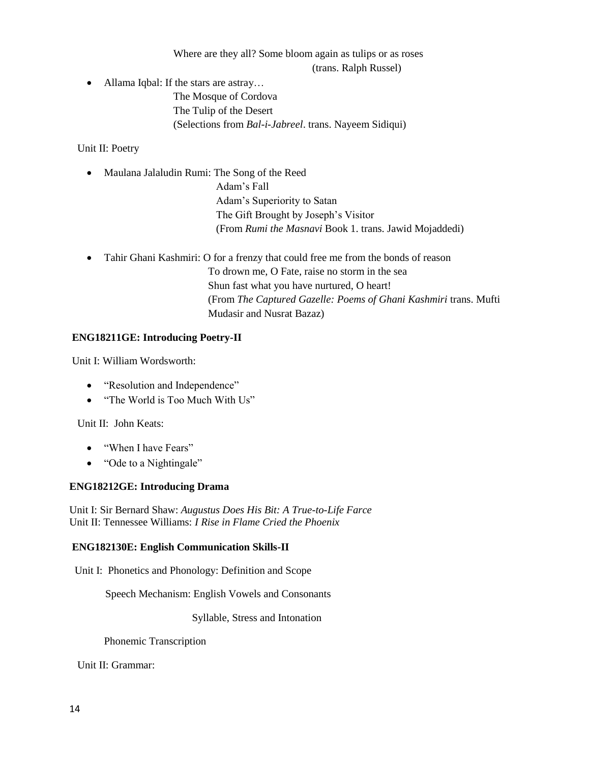Where are they all? Some bloom again as tulips or as roses (trans. Ralph Russel)

• Allama Iqbal: If the stars are astray...

The Mosque of Cordova The Tulip of the Desert (Selections from *Bal-i-Jabreel*. trans. Nayeem Sidiqui)

Unit II: Poetry

• Maulana Jalaludin Rumi: The Song of the Reed

 Adam's Fall Adam's Superiority to Satan The Gift Brought by Joseph's Visitor (From *Rumi the Masnavi* Book 1. trans. Jawid Mojaddedi)

 Tahir Ghani Kashmiri: O for a frenzy that could free me from the bonds of reason To drown me, O Fate, raise no storm in the sea Shun fast what you have nurtured, O heart! (From *The Captured Gazelle: Poems of Ghani Kashmiri* trans. Mufti Mudasir and Nusrat Bazaz)

## **ENG18211GE: Introducing Poetry-II**

Unit I: William Wordsworth:

- "Resolution and Independence"
- "The World is Too Much With Us"

Unit II: John Keats:

- "When I have Fears"
- "Ode to a Nightingale"

### **ENG18212GE: Introducing Drama**

Unit I: Sir Bernard Shaw: *Augustus Does His Bit: A True-to-Life Farce* Unit II: Tennessee Williams: *I Rise in Flame Cried the Phoenix*

### **ENG182130E: English Communication Skills-II**

Unit I: Phonetics and Phonology: Definition and Scope

Speech Mechanism: English Vowels and Consonants

Syllable, Stress and Intonation

Phonemic Transcription

Unit II: Grammar: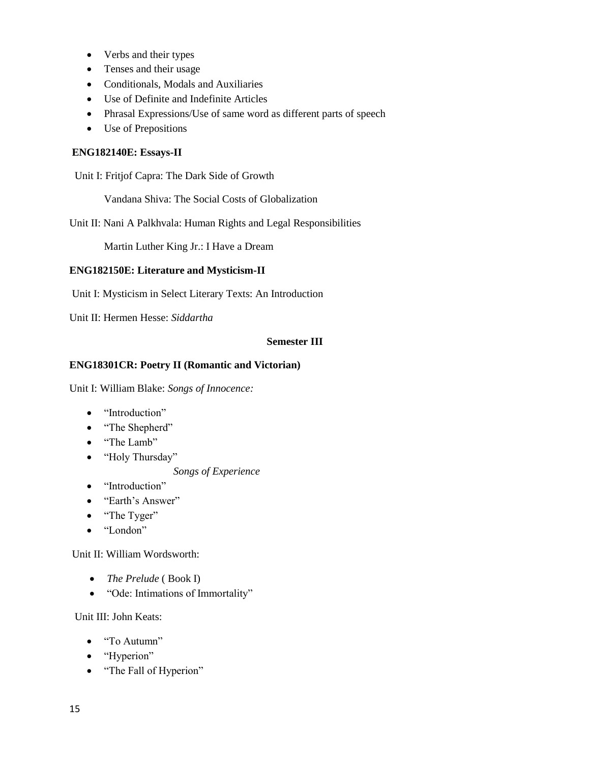- Verbs and their types
- Tenses and their usage
- Conditionals, Modals and Auxiliaries
- Use of Definite and Indefinite Articles
- Phrasal Expressions/Use of same word as different parts of speech
- Use of Prepositions

#### **ENG182140E: Essays-II**

Unit I: Fritjof Capra: The Dark Side of Growth

Vandana Shiva: The Social Costs of Globalization

Unit II: Nani A Palkhvala: Human Rights and Legal Responsibilities

Martin Luther King Jr.: I Have a Dream

#### **ENG182150E: Literature and Mysticism-II**

Unit I: Mysticism in Select Literary Texts: An Introduction

Unit II: Hermen Hesse: *Siddartha*

#### **Semester III**

#### **ENG18301CR: Poetry II (Romantic and Victorian)**

Unit I: William Blake: *Songs of Innocence:*

- "Introduction"
- "The Shepherd"
- "The Lamb"
- "Holy Thursday"

#### *Songs of Experience*

- "Introduction"
- "Earth's Answer"
- "The Tyger"
- "London"

Unit II: William Wordsworth:

- *The Prelude* ( Book I)
- "Ode: Intimations of Immortality"

Unit III: John Keats:

- "To Autumn"
- "Hyperion"
- "The Fall of Hyperion"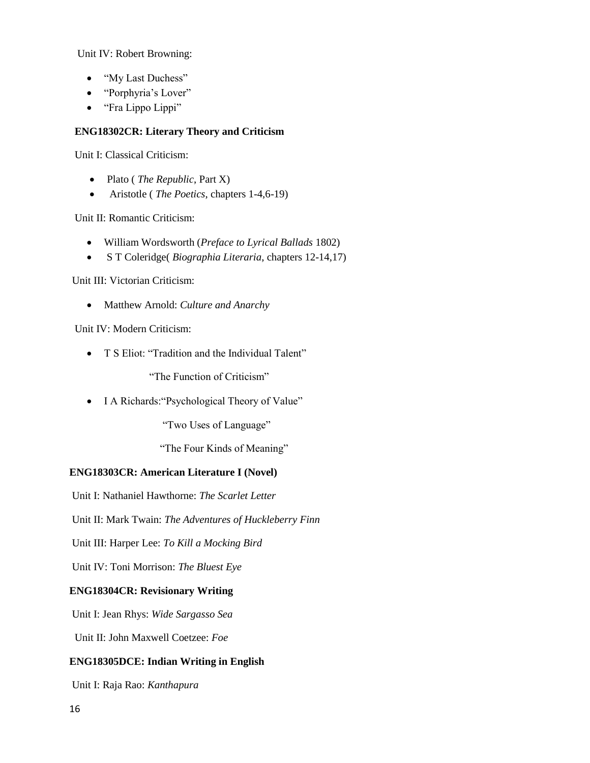Unit IV: Robert Browning:

- "My Last Duchess"
- "Porphyria's Lover"
- "Fra Lippo Lippi"

#### **ENG18302CR: Literary Theory and Criticism**

Unit I: Classical Criticism:

- Plato (*The Republic*, Part X)
- Aristotle ( *The Poetics*, chapters 1-4,6-19)

Unit II: Romantic Criticism:

- William Wordsworth (*Preface to Lyrical Ballads* 1802)
- S T Coleridge( *Biographia Literaria*, chapters 12-14,17)

Unit III: Victorian Criticism:

Matthew Arnold: *Culture and Anarchy*

Unit IV: Modern Criticism:

• T S Eliot: "Tradition and the Individual Talent"

"The Function of Criticism"

• I A Richards: "Psychological Theory of Value"

"Two Uses of Language"

"The Four Kinds of Meaning"

### **ENG18303CR: American Literature I (Novel)**

Unit I: Nathaniel Hawthorne: *The Scarlet Letter*

Unit II: Mark Twain: *The Adventures of Huckleberry Finn*

Unit III: Harper Lee: *To Kill a Mocking Bird*

Unit IV: Toni Morrison: *The Bluest Eye*

### **ENG18304CR: Revisionary Writing**

Unit I: Jean Rhys: *Wide Sargasso Sea*

Unit II: John Maxwell Coetzee: *Foe*

### **ENG18305DCE: Indian Writing in English**

Unit I: Raja Rao: *Kanthapura*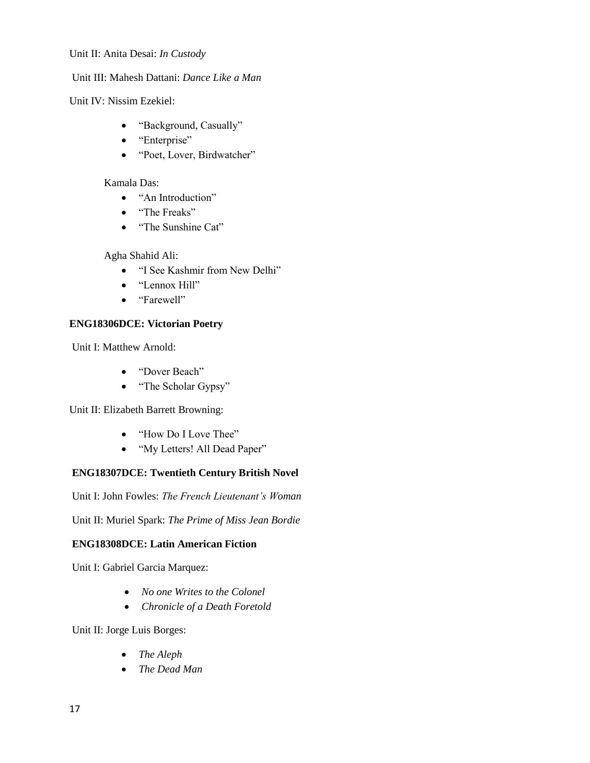#### Unit II: Anita Desai: *In Custody*

### Unit III: Mahesh Dattani: *Dance Like a Man*

Unit IV: Nissim Ezekiel:

- "Background, Casually"
- "Enterprise"
- "Poet, Lover, Birdwatcher"

#### Kamala Das:

- "An Introduction"
- "The Freaks"
- "The Sunshine Cat"

Agha Shahid Ali:

- "I See Kashmir from New Delhi"
- "Lennox Hill"
- "Farewell"

### **ENG18306DCE: Victorian Poetry**

Unit I: Matthew Arnold:

- "Dover Beach"
- "The Scholar Gypsy"

Unit II: Elizabeth Barrett Browning:

- "How Do I Love Thee"
- "My Letters! All Dead Paper"

## **ENG18307DCE: Twentieth Century British Novel**

Unit I: John Fowles: *The French Lieutenant's Woman*

Unit II: Muriel Spark: *The Prime of Miss Jean Bordie*

#### **ENG18308DCE: Latin American Fiction**

Unit I: Gabriel Garcia Marquez:

- *No one Writes to the Colonel*
- *Chronicle of a Death Foretold*

Unit II: Jorge Luis Borges:

- *The Aleph*
- *The Dead Man*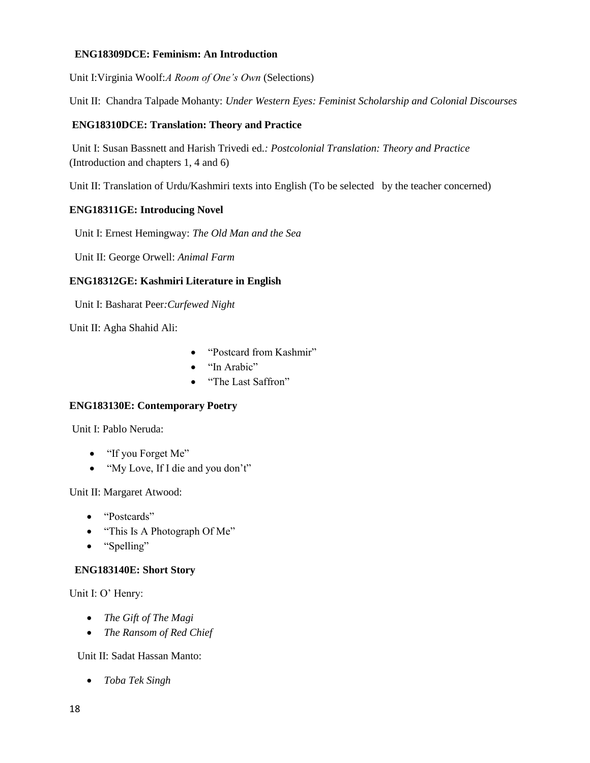#### **ENG18309DCE: Feminism: An Introduction**

Unit I:Virginia Woolf:*A Room of One's Own* (Selections)

Unit II: Chandra Talpade Mohanty: *Under Western Eyes: Feminist Scholarship and Colonial Discourses*

#### **ENG18310DCE: Translation: Theory and Practice**

Unit I: Susan Bassnett and Harish Trivedi ed*.: Postcolonial Translation: Theory and Practice*  (Introduction and chapters 1, 4 and 6)

Unit II: Translation of Urdu/Kashmiri texts into English (To be selected by the teacher concerned)

#### **ENG18311GE: Introducing Novel**

Unit I: Ernest Hemingway: *The Old Man and the Sea*

Unit II: George Orwell: *Animal Farm*

### **ENG18312GE: Kashmiri Literature in English**

Unit I: Basharat Peer*:Curfewed Night*

Unit II: Agha Shahid Ali:

- "Postcard from Kashmir"
- "In Arabic"
- "The Last Saffron"

#### **ENG183130E: Contemporary Poetry**

Unit I: Pablo Neruda:

- "If you Forget Me"
- "My Love, If I die and you don't"

Unit II: Margaret Atwood:

- "Postcards"
- "This Is A Photograph Of Me"
- "Spelling"

#### **ENG183140E: Short Story**

Unit I: O' Henry:

- *The Gift of The Magi*
- *The Ransom of Red Chief*

Unit II: Sadat Hassan Manto:

*Toba Tek Singh*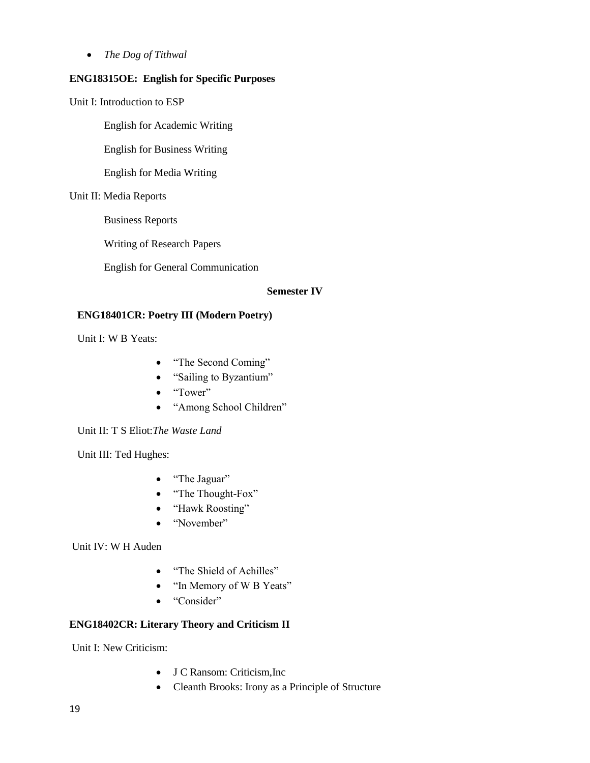*The Dog of Tithwal*

#### **ENG18315OE: English for Specific Purposes**

Unit I: Introduction to ESP

English for Academic Writing

English for Business Writing

English for Media Writing

#### Unit II: Media Reports

Business Reports

Writing of Research Papers

English for General Communication

#### **Semester IV**

#### **ENG18401CR: Poetry III (Modern Poetry)**

Unit I: W B Yeats:

- "The Second Coming"
- "Sailing to Byzantium"
- "Tower"
- "Among School Children"

Unit II: T S Eliot:*The Waste Land*

Unit III: Ted Hughes:

- "The Jaguar"
- "The Thought-Fox"
- "Hawk Roosting"
- "November"

Unit IV: W H Auden

- "The Shield of Achilles"
- "In Memory of W B Yeats"
- "Consider"

#### **ENG18402CR: Literary Theory and Criticism II**

Unit I: New Criticism:

- J C Ransom: Criticism,Inc
- Cleanth Brooks: Irony as a Principle of Structure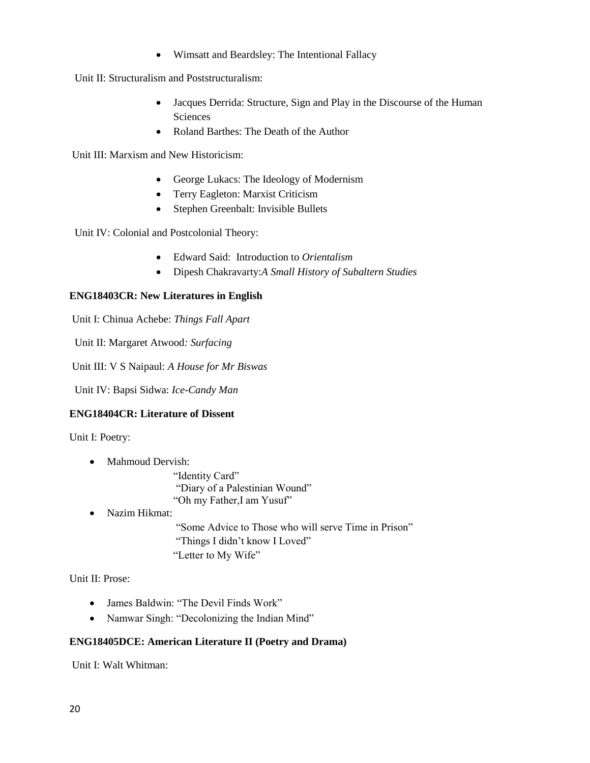Wimsatt and Beardsley: The Intentional Fallacy

Unit II: Structuralism and Poststructuralism:

- Jacques Derrida: Structure, Sign and Play in the Discourse of the Human **Sciences**
- Roland Barthes: The Death of the Author

Unit III: Marxism and New Historicism:

- George Lukacs: The Ideology of Modernism
- Terry Eagleton: Marxist Criticism
- Stephen Greenbalt: Invisible Bullets

Unit IV: Colonial and Postcolonial Theory:

- Edward Said: Introduction to *Orientalism*
- Dipesh Chakravarty:*A Small History of Subaltern Studies*

#### **ENG18403CR: New Literatures in English**

Unit I: Chinua Achebe: *Things Fall Apart* 

Unit II: Margaret Atwood*: Surfacing*

Unit III: V S Naipaul: *A House for Mr Biswas*

Unit IV: Bapsi Sidwa: *Ice-Candy Man*

#### **ENG18404CR: Literature of Dissent**

Unit I: Poetry:

• Mahmoud Dervish:

"Identity Card" "Diary of a Palestinian Wound" "Oh my Father,I am Yusuf"

• Nazim Hikmat:

"Some Advice to Those who will serve Time in Prison" "Things I didn't know I Loved" "Letter to My Wife"

Unit II: Prose:

- James Baldwin: "The Devil Finds Work"
- Namwar Singh: "Decolonizing the Indian Mind"

#### **ENG18405DCE: American Literature II (Poetry and Drama)**

Unit I: Walt Whitman: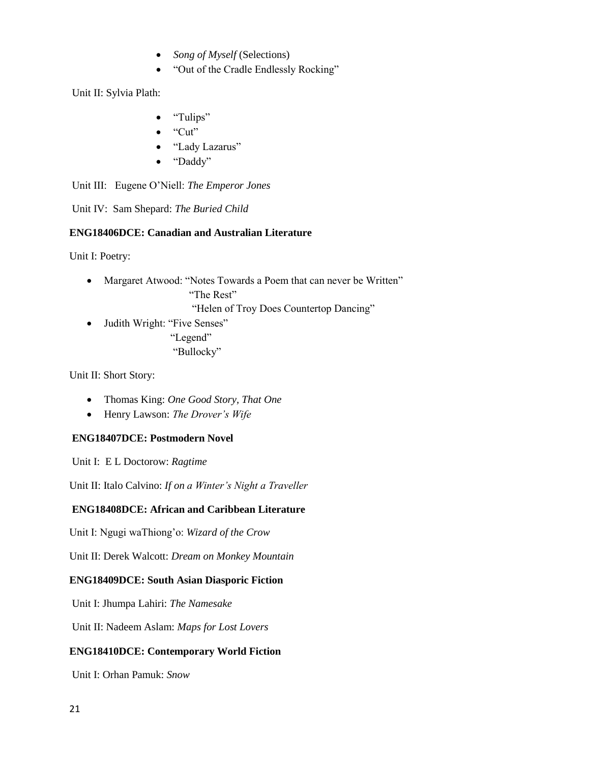- *Song of Myself* (Selections)
- "Out of the Cradle Endlessly Rocking"

Unit II: Sylvia Plath:

- "Tulips"
- $\bullet$  "Cut"
- "Lady Lazarus"
- "Daddy"

Unit III: Eugene O'Niell: *The Emperor Jones*

Unit IV: Sam Shepard: *The Buried Child*

### **ENG18406DCE: Canadian and Australian Literature**

Unit I: Poetry:

 Margaret Atwood: "Notes Towards a Poem that can never be Written" "The Rest"

"Helen of Troy Does Countertop Dancing"

 Judith Wright: "Five Senses" "Legend" "Bullocky"

Unit II: Short Story:

- Thomas King: *One Good Story, That One*
- Henry Lawson: *The Drover's Wife*

### **ENG18407DCE: Postmodern Novel**

Unit I: E L Doctorow: *Ragtime*

Unit II: Italo Calvino: *If on a Winter's Night a Traveller*

### **ENG18408DCE: African and Caribbean Literature**

Unit I: Ngugi waThiong'o: *Wizard of the Crow*

Unit II: Derek Walcott: *Dream on Monkey Mountain*

#### **ENG18409DCE: South Asian Diasporic Fiction**

Unit I: Jhumpa Lahiri: *The Namesake*

Unit II: Nadeem Aslam: *Maps for Lost Lovers*

#### **ENG18410DCE: Contemporary World Fiction**

Unit I: Orhan Pamuk: *Snow*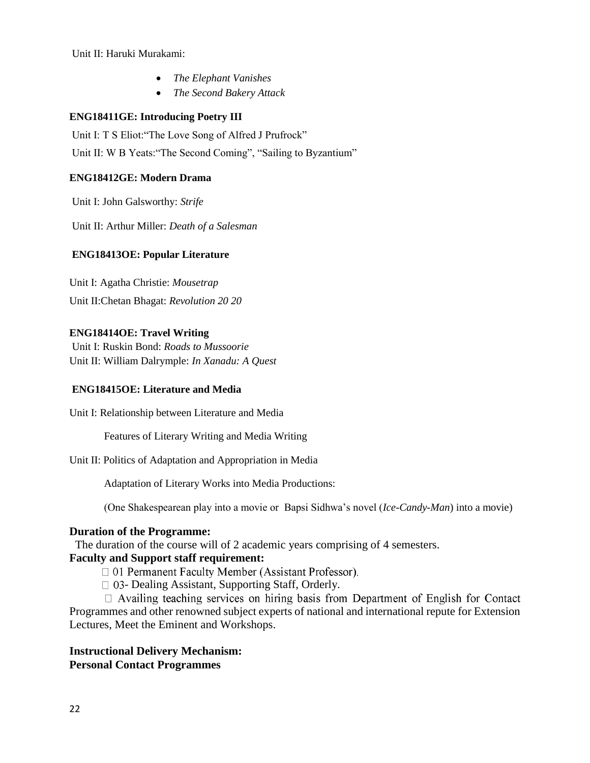Unit II: Haruki Murakami:

- *The Elephant Vanishes*
- *The Second Bakery Attack*

#### **ENG18411GE: Introducing Poetry III**

Unit I: T S Eliot:"The Love Song of Alfred J Prufrock" Unit II: W B Yeats:"The Second Coming", "Sailing to Byzantium"

#### **ENG18412GE: Modern Drama**

Unit I: John Galsworthy: *Strife*

Unit II: Arthur Miller: *Death of a Salesman*

#### **ENG18413OE: Popular Literature**

Unit I: Agatha Christie: *Mousetrap* Unit II:Chetan Bhagat: *Revolution 20 20*

#### **ENG18414OE: Travel Writing**

Unit I: Ruskin Bond: *Roads to Mussoorie* Unit II: William Dalrymple: *In Xanadu: A Quest*

#### **ENG18415OE: Literature and Media**

Unit I: Relationship between Literature and Media

Features of Literary Writing and Media Writing

Unit II: Politics of Adaptation and Appropriation in Media

Adaptation of Literary Works into Media Productions:

(One Shakespearean play into a movie or Bapsi Sidhwa's novel (*Ice-Candy-Man*) into a movie)

#### **Duration of the Programme:**

The duration of the course will of 2 academic years comprising of 4 semesters.

## **Faculty and Support staff requirement:**

□ 01 Permanent Faculty Member (Assistant Professor).

 $\Box$  03- Dealing Assistant, Supporting Staff, Orderly.

 $\Box$  Availing teaching services on hiring basis from Department of English for Contact Programmes and other renowned subject experts of national and international repute for Extension Lectures, Meet the Eminent and Workshops.

#### **Instructional Delivery Mechanism: Personal Contact Programmes**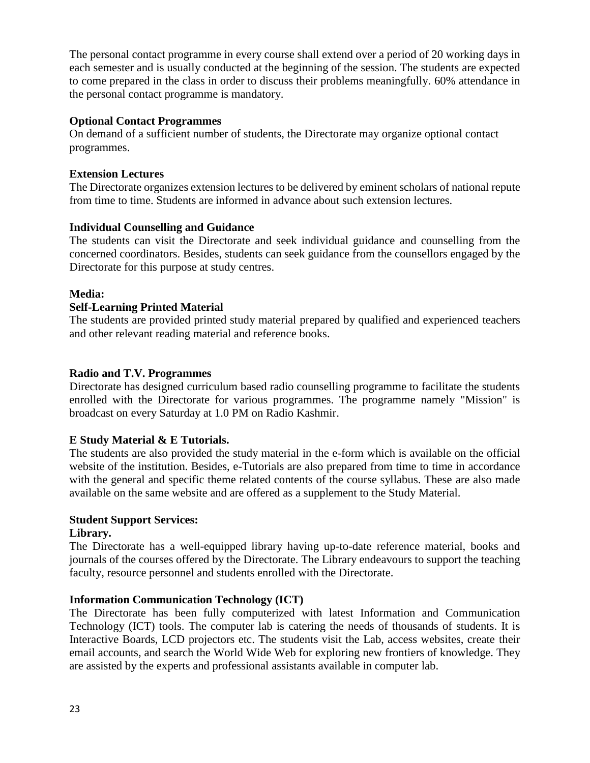The personal contact programme in every course shall extend over a period of 20 working days in each semester and is usually conducted at the beginning of the session. The students are expected to come prepared in the class in order to discuss their problems meaningfully. 60% attendance in the personal contact programme is mandatory.

## **Optional Contact Programmes**

On demand of a sufficient number of students, the Directorate may organize optional contact programmes.

### **Extension Lectures**

The Directorate organizes extension lectures to be delivered by eminent scholars of national repute from time to time. Students are informed in advance about such extension lectures.

## **Individual Counselling and Guidance**

The students can visit the Directorate and seek individual guidance and counselling from the concerned coordinators. Besides, students can seek guidance from the counsellors engaged by the Directorate for this purpose at study centres.

### **Media:**

## **Self-Learning Printed Material**

The students are provided printed study material prepared by qualified and experienced teachers and other relevant reading material and reference books.

## **Radio and T.V. Programmes**

Directorate has designed curriculum based radio counselling programme to facilitate the students enrolled with the Directorate for various programmes. The programme namely "Mission" is broadcast on every Saturday at 1.0 PM on Radio Kashmir.

## **E Study Material & E Tutorials.**

The students are also provided the study material in the e-form which is available on the official website of the institution. Besides, e-Tutorials are also prepared from time to time in accordance with the general and specific theme related contents of the course syllabus. These are also made available on the same website and are offered as a supplement to the Study Material.

## **Student Support Services:**

### **Library.**

The Directorate has a well-equipped library having up-to-date reference material, books and journals of the courses offered by the Directorate. The Library endeavours to support the teaching faculty, resource personnel and students enrolled with the Directorate.

### **Information Communication Technology (ICT)**

The Directorate has been fully computerized with latest Information and Communication Technology (ICT) tools. The computer lab is catering the needs of thousands of students. It is Interactive Boards, LCD projectors etc. The students visit the Lab, access websites, create their email accounts, and search the World Wide Web for exploring new frontiers of knowledge. They are assisted by the experts and professional assistants available in computer lab.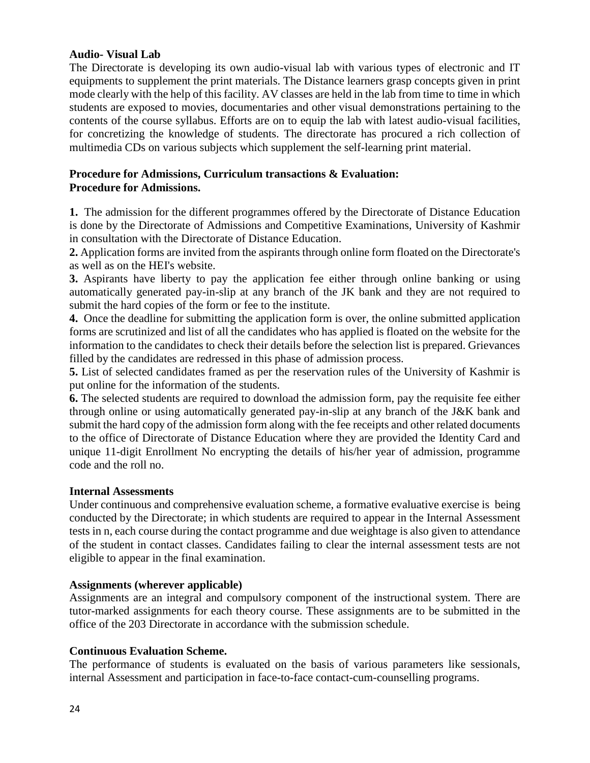### **Audio- Visual Lab**

The Directorate is developing its own audio-visual lab with various types of electronic and IT equipments to supplement the print materials. The Distance learners grasp concepts given in print mode clearly with the help of this facility. AV classes are held in the lab from time to time in which students are exposed to movies, documentaries and other visual demonstrations pertaining to the contents of the course syllabus. Efforts are on to equip the lab with latest audio-visual facilities, for concretizing the knowledge of students. The directorate has procured a rich collection of multimedia CDs on various subjects which supplement the self-learning print material.

### **Procedure for Admissions, Curriculum transactions & Evaluation: Procedure for Admissions.**

**1.** The admission for the different programmes offered by the Directorate of Distance Education is done by the Directorate of Admissions and Competitive Examinations, University of Kashmir in consultation with the Directorate of Distance Education.

**2.** Application forms are invited from the aspirants through online form floated on the Directorate's as well as on the HEI's website.

**3.** Aspirants have liberty to pay the application fee either through online banking or using automatically generated pay-in-slip at any branch of the JK bank and they are not required to submit the hard copies of the form or fee to the institute.

**4.** Once the deadline for submitting the application form is over, the online submitted application forms are scrutinized and list of all the candidates who has applied is floated on the website for the information to the candidates to check their details before the selection list is prepared. Grievances filled by the candidates are redressed in this phase of admission process.

**5.** List of selected candidates framed as per the reservation rules of the University of Kashmir is put online for the information of the students.

**6.** The selected students are required to download the admission form, pay the requisite fee either through online or using automatically generated pay-in-slip at any branch of the J&K bank and submit the hard copy of the admission form along with the fee receipts and other related documents to the office of Directorate of Distance Education where they are provided the Identity Card and unique 11-digit Enrollment No encrypting the details of his/her year of admission, programme code and the roll no.

### **Internal Assessments**

Under continuous and comprehensive evaluation scheme, a formative evaluative exercise is being conducted by the Directorate; in which students are required to appear in the Internal Assessment tests in n, each course during the contact programme and due weightage is also given to attendance of the student in contact classes. Candidates failing to clear the internal assessment tests are not eligible to appear in the final examination.

### **Assignments (wherever applicable)**

Assignments are an integral and compulsory component of the instructional system. There are tutor-marked assignments for each theory course. These assignments are to be submitted in the office of the 203 Directorate in accordance with the submission schedule.

### **Continuous Evaluation Scheme.**

The performance of students is evaluated on the basis of various parameters like sessionals, internal Assessment and participation in face-to-face contact-cum-counselling programs.